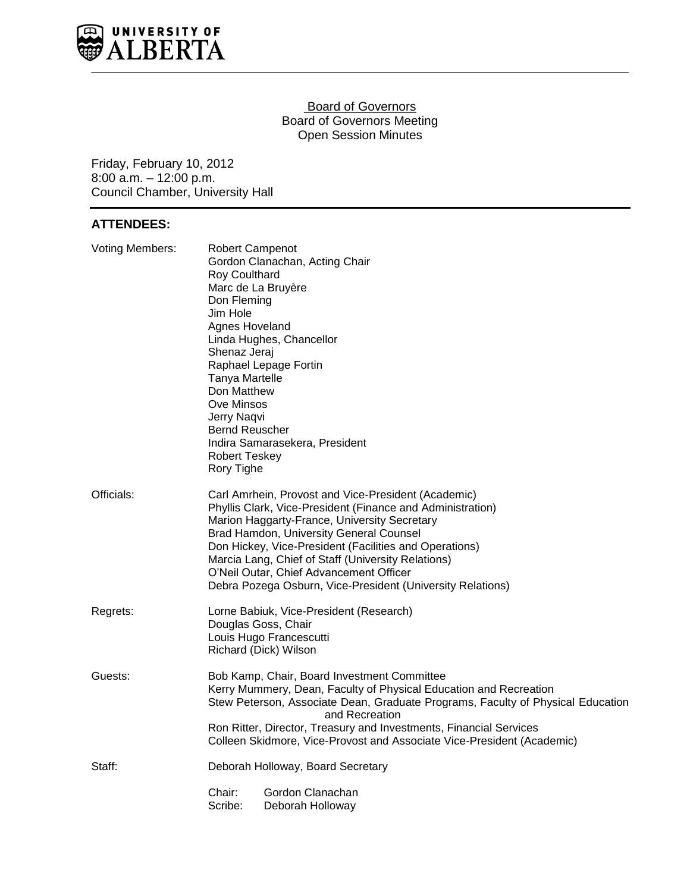

#### **Board of Governors** Board of Governors Meeting Open Session Minutes

Friday, February 10, 2012 8:00 a.m. – 12:00 p.m. Council Chamber, University Hall

# **ATTENDEES:**

| <b>Voting Members:</b> | <b>Robert Campenot</b><br>Gordon Clanachan, Acting Chair<br><b>Roy Coulthard</b><br>Marc de La Bruyère<br>Don Fleming<br>Jim Hole<br>Agnes Hoveland<br>Linda Hughes, Chancellor<br>Shenaz Jeraj<br>Raphael Lepage Fortin<br>Tanya Martelle<br>Don Matthew<br>Ove Minsos<br>Jerry Naqvi<br><b>Bernd Reuscher</b><br>Indira Samarasekera, President<br><b>Robert Teskey</b><br>Rory Tighe                                               |
|------------------------|---------------------------------------------------------------------------------------------------------------------------------------------------------------------------------------------------------------------------------------------------------------------------------------------------------------------------------------------------------------------------------------------------------------------------------------|
| Officials:             | Carl Amrhein, Provost and Vice-President (Academic)<br>Phyllis Clark, Vice-President (Finance and Administration)<br>Marion Haggarty-France, University Secretary<br>Brad Hamdon, University General Counsel<br>Don Hickey, Vice-President (Facilities and Operations)<br>Marcia Lang, Chief of Staff (University Relations)<br>O'Neil Outar, Chief Advancement Officer<br>Debra Pozega Osburn, Vice-President (University Relations) |
| Regrets:               | Lorne Babiuk, Vice-President (Research)<br>Douglas Goss, Chair<br>Louis Hugo Francescutti<br>Richard (Dick) Wilson                                                                                                                                                                                                                                                                                                                    |
| Guests:                | Bob Kamp, Chair, Board Investment Committee<br>Kerry Mummery, Dean, Faculty of Physical Education and Recreation<br>Stew Peterson, Associate Dean, Graduate Programs, Faculty of Physical Education<br>and Recreation<br>Ron Ritter, Director, Treasury and Investments, Financial Services<br>Colleen Skidmore, Vice-Provost and Associate Vice-President (Academic)                                                                 |
| Staff:                 | Deborah Holloway, Board Secretary<br>Gordon Clanachan<br>Chair:<br>Scribe:<br>Deborah Holloway                                                                                                                                                                                                                                                                                                                                        |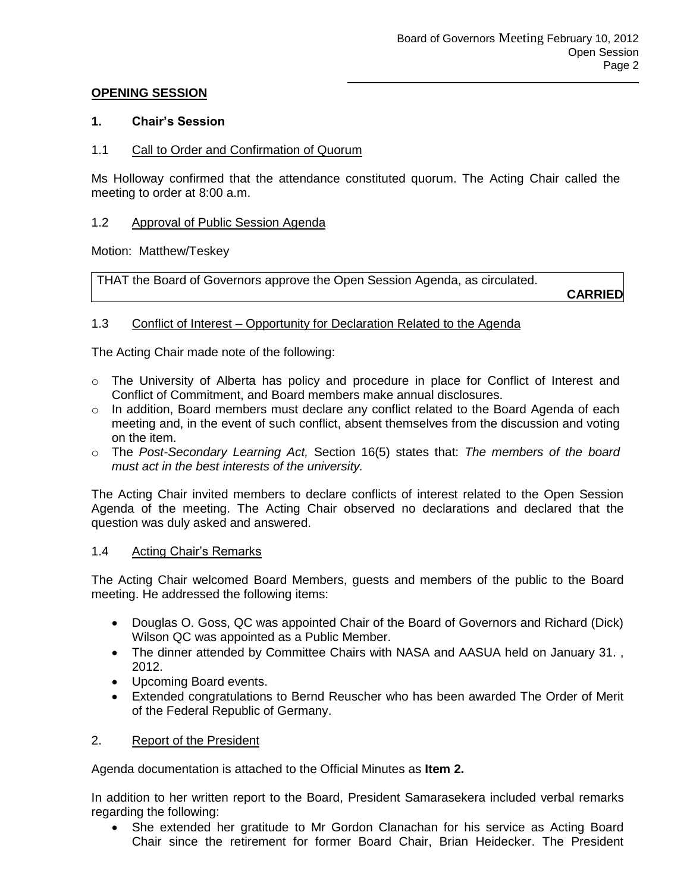### **OPENING SESSION**

### **1. Chair's Session**

### 1.1 Call to Order and Confirmation of Quorum

Ms Holloway confirmed that the attendance constituted quorum. The Acting Chair called the meeting to order at 8:00 a.m.

### 1.2 Approval of Public Session Agenda

Motion: Matthew/Teskey

THAT the Board of Governors approve the Open Session Agenda, as circulated.

**CARRIED**

### 1.3 Conflict of Interest – Opportunity for Declaration Related to the Agenda

The Acting Chair made note of the following:

- o The University of Alberta has policy and procedure in place for Conflict of Interest and Conflict of Commitment, and Board members make annual disclosures.
- o In addition, Board members must declare any conflict related to the Board Agenda of each meeting and, in the event of such conflict, absent themselves from the discussion and voting on the item.
- o The *Post-Secondary Learning Act,* Section 16(5) states that: *The members of the board must act in the best interests of the university.*

The Acting Chair invited members to declare conflicts of interest related to the Open Session Agenda of the meeting. The Acting Chair observed no declarations and declared that the question was duly asked and answered.

#### 1.4 Acting Chair's Remarks

The Acting Chair welcomed Board Members, guests and members of the public to the Board meeting. He addressed the following items:

- Douglas O. Goss, QC was appointed Chair of the Board of Governors and Richard (Dick) Wilson QC was appointed as a Public Member.
- The dinner attended by Committee Chairs with NASA and AASUA held on January 31. , 2012.
- Upcoming Board events.
- Extended congratulations to Bernd Reuscher who has been awarded The Order of Merit of the Federal Republic of Germany.

# 2. Report of the President

Agenda documentation is attached to the Official Minutes as **Item 2.**

In addition to her written report to the Board, President Samarasekera included verbal remarks regarding the following:

 She extended her gratitude to Mr Gordon Clanachan for his service as Acting Board Chair since the retirement for former Board Chair, Brian Heidecker. The President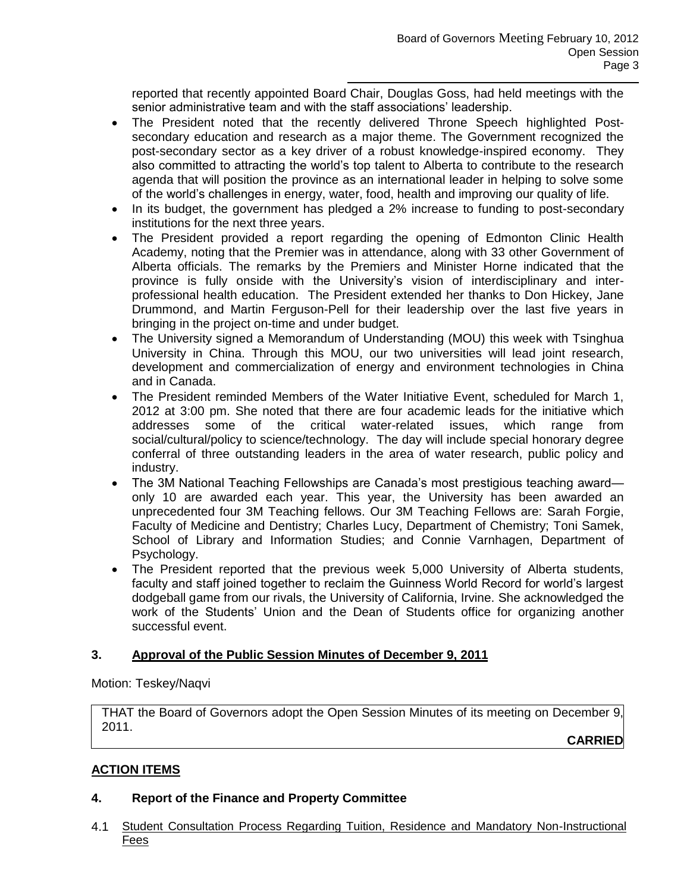reported that recently appointed Board Chair, Douglas Goss, had held meetings with the senior administrative team and with the staff associations' leadership.

- The President noted that the recently delivered Throne Speech highlighted Postsecondary education and research as a major theme. The Government recognized the post-secondary sector as a key driver of a robust knowledge-inspired economy. They also committed to attracting the world's top talent to Alberta to contribute to the research agenda that will position the province as an international leader in helping to solve some of the world's challenges in energy, water, food, health and improving our quality of life.
- In its budget, the government has pledged a 2% increase to funding to post-secondary institutions for the next three years.
- The President provided a report regarding the opening of Edmonton Clinic Health Academy, noting that the Premier was in attendance, along with 33 other Government of Alberta officials. The remarks by the Premiers and Minister Horne indicated that the province is fully onside with the University's vision of interdisciplinary and interprofessional health education. The President extended her thanks to Don Hickey, Jane Drummond, and Martin Ferguson-Pell for their leadership over the last five years in bringing in the project on-time and under budget.
- The University signed a Memorandum of Understanding (MOU) this week with Tsinghua University in China. Through this MOU, our two universities will lead joint research, development and commercialization of energy and environment technologies in China and in Canada.
- The President reminded Members of the Water Initiative Event, scheduled for March 1, 2012 at 3:00 pm. She noted that there are four academic leads for the initiative which addresses some of the critical water-related issues, which range from social/cultural/policy to science/technology. The day will include special honorary degree conferral of three outstanding leaders in the area of water research, public policy and industry.
- The 3M National Teaching Fellowships are Canada's most prestigious teaching award only 10 are awarded each year. This year, the University has been awarded an unprecedented four 3M Teaching fellows. Our 3M Teaching Fellows are: Sarah Forgie, Faculty of Medicine and Dentistry; Charles Lucy, Department of Chemistry; Toni Samek, School of Library and Information Studies; and Connie Varnhagen, Department of Psychology.
- The President reported that the previous week 5,000 University of Alberta students, faculty and staff joined together to reclaim the Guinness World Record for world's largest dodgeball game from our rivals, the University of California, Irvine. She acknowledged the work of the Students' Union and the Dean of Students office for organizing another successful event.

# **3. Approval of the Public Session Minutes of December 9, 2011**

Motion: Teskey/Naqvi

THAT the Board of Governors adopt the Open Session Minutes of its meeting on December 9, 2011.

**CARRIED**

# **ACTION ITEMS**

# **4. Report of the Finance and Property Committee**

4.1 Student Consultation Process Regarding Tuition, Residence and Mandatory Non-Instructional Fees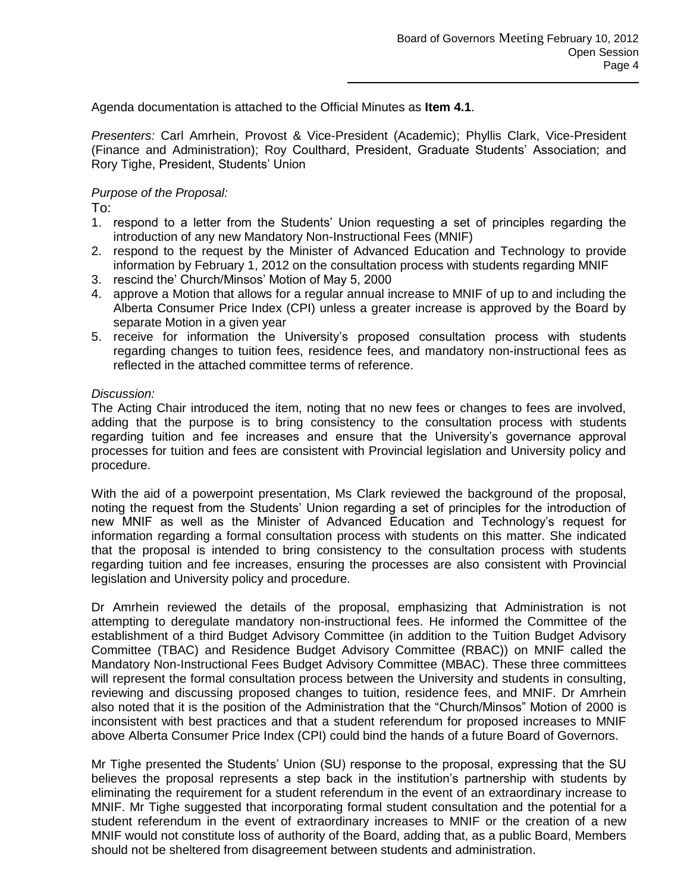Agenda documentation is attached to the Official Minutes as **Item 4.1**.

*Presenters:* Carl Amrhein, Provost & Vice-President (Academic); Phyllis Clark, Vice-President (Finance and Administration); Roy Coulthard, President, Graduate Students' Association; and Rory Tighe, President, Students' Union

### *Purpose of the Proposal:*

To:

- 1. respond to a letter from the Students' Union requesting a set of principles regarding the introduction of any new Mandatory Non-Instructional Fees (MNIF)
- 2. respond to the request by the Minister of Advanced Education and Technology to provide information by February 1, 2012 on the consultation process with students regarding MNIF
- 3. rescind the' Church/Minsos' Motion of May 5, 2000
- 4. approve a Motion that allows for a regular annual increase to MNIF of up to and including the Alberta Consumer Price Index (CPI) unless a greater increase is approved by the Board by separate Motion in a given year
- 5. receive for information the University's proposed consultation process with students regarding changes to tuition fees, residence fees, and mandatory non-instructional fees as reflected in the attached committee terms of reference.

### *Discussion:*

The Acting Chair introduced the item, noting that no new fees or changes to fees are involved, adding that the purpose is to bring consistency to the consultation process with students regarding tuition and fee increases and ensure that the University's governance approval processes for tuition and fees are consistent with Provincial legislation and University policy and procedure.

With the aid of a powerpoint presentation, Ms Clark reviewed the background of the proposal, noting the request from the Students' Union regarding a set of principles for the introduction of new MNIF as well as the Minister of Advanced Education and Technology's request for information regarding a formal consultation process with students on this matter. She indicated that the proposal is intended to bring consistency to the consultation process with students regarding tuition and fee increases, ensuring the processes are also consistent with Provincial legislation and University policy and procedure.

Dr Amrhein reviewed the details of the proposal, emphasizing that Administration is not attempting to deregulate mandatory non-instructional fees. He informed the Committee of the establishment of a third Budget Advisory Committee (in addition to the Tuition Budget Advisory Committee (TBAC) and Residence Budget Advisory Committee (RBAC)) on MNIF called the Mandatory Non-Instructional Fees Budget Advisory Committee (MBAC). These three committees will represent the formal consultation process between the University and students in consulting, reviewing and discussing proposed changes to tuition, residence fees, and MNIF. Dr Amrhein also noted that it is the position of the Administration that the "Church/Minsos" Motion of 2000 is inconsistent with best practices and that a student referendum for proposed increases to MNIF above Alberta Consumer Price Index (CPI) could bind the hands of a future Board of Governors.

Mr Tighe presented the Students' Union (SU) response to the proposal, expressing that the SU believes the proposal represents a step back in the institution's partnership with students by eliminating the requirement for a student referendum in the event of an extraordinary increase to MNIF. Mr Tighe suggested that incorporating formal student consultation and the potential for a student referendum in the event of extraordinary increases to MNIF or the creation of a new MNIF would not constitute loss of authority of the Board, adding that, as a public Board, Members should not be sheltered from disagreement between students and administration.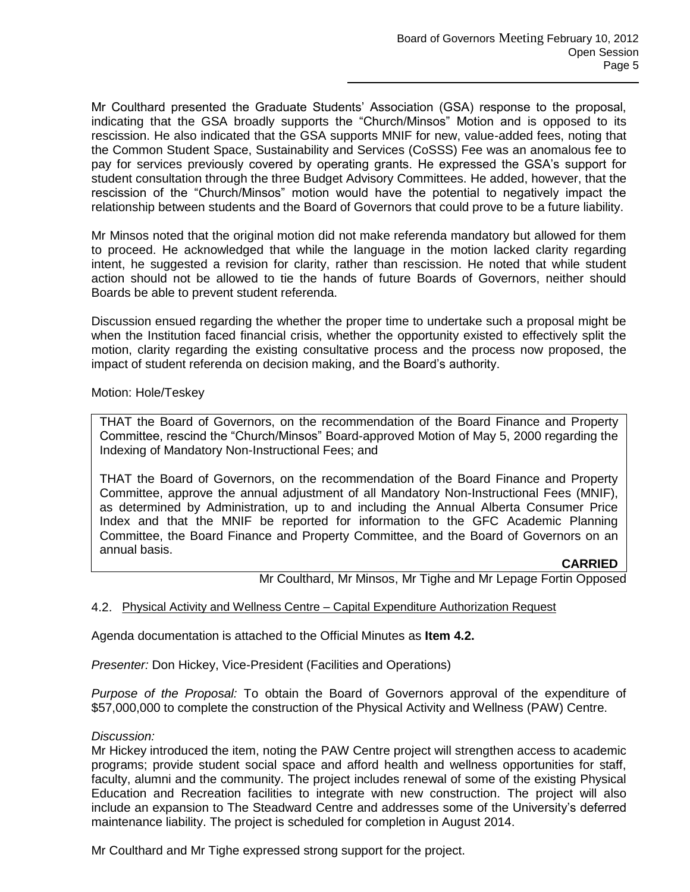Mr Coulthard presented the Graduate Students' Association (GSA) response to the proposal, indicating that the GSA broadly supports the "Church/Minsos" Motion and is opposed to its rescission. He also indicated that the GSA supports MNIF for new, value-added fees, noting that the Common Student Space, Sustainability and Services (CoSSS) Fee was an anomalous fee to pay for services previously covered by operating grants. He expressed the GSA's support for student consultation through the three Budget Advisory Committees. He added, however, that the rescission of the "Church/Minsos" motion would have the potential to negatively impact the relationship between students and the Board of Governors that could prove to be a future liability.

Mr Minsos noted that the original motion did not make referenda mandatory but allowed for them to proceed. He acknowledged that while the language in the motion lacked clarity regarding intent, he suggested a revision for clarity, rather than rescission. He noted that while student action should not be allowed to tie the hands of future Boards of Governors, neither should Boards be able to prevent student referenda.

Discussion ensued regarding the whether the proper time to undertake such a proposal might be when the Institution faced financial crisis, whether the opportunity existed to effectively split the motion, clarity regarding the existing consultative process and the process now proposed, the impact of student referenda on decision making, and the Board's authority.

Motion: Hole/Teskey

THAT the Board of Governors, on the recommendation of the Board Finance and Property Committee, rescind the "Church/Minsos" Board-approved Motion of May 5, 2000 regarding the Indexing of Mandatory Non-Instructional Fees; and

THAT the Board of Governors, on the recommendation of the Board Finance and Property Committee, approve the annual adjustment of all Mandatory Non-Instructional Fees (MNIF), as determined by Administration, up to and including the Annual Alberta Consumer Price Index and that the MNIF be reported for information to the GFC Academic Planning Committee, the Board Finance and Property Committee, and the Board of Governors on an annual basis.

#### **CARRIED**

Mr Coulthard, Mr Minsos, Mr Tighe and Mr Lepage Fortin Opposed

#### 4.2. Physical Activity and Wellness Centre – Capital Expenditure Authorization Request

Agenda documentation is attached to the Official Minutes as **Item 4.2.**

*Presenter:* Don Hickey, Vice-President (Facilities and Operations)

*Purpose of the Proposal:* To obtain the Board of Governors approval of the expenditure of \$57,000,000 to complete the construction of the Physical Activity and Wellness (PAW) Centre.

#### *Discussion:*

Mr Hickey introduced the item, noting the PAW Centre project will strengthen access to academic programs; provide student social space and afford health and wellness opportunities for staff, faculty, alumni and the community. The project includes renewal of some of the existing Physical Education and Recreation facilities to integrate with new construction. The project will also include an expansion to The Steadward Centre and addresses some of the University's deferred maintenance liability. The project is scheduled for completion in August 2014.

Mr Coulthard and Mr Tighe expressed strong support for the project.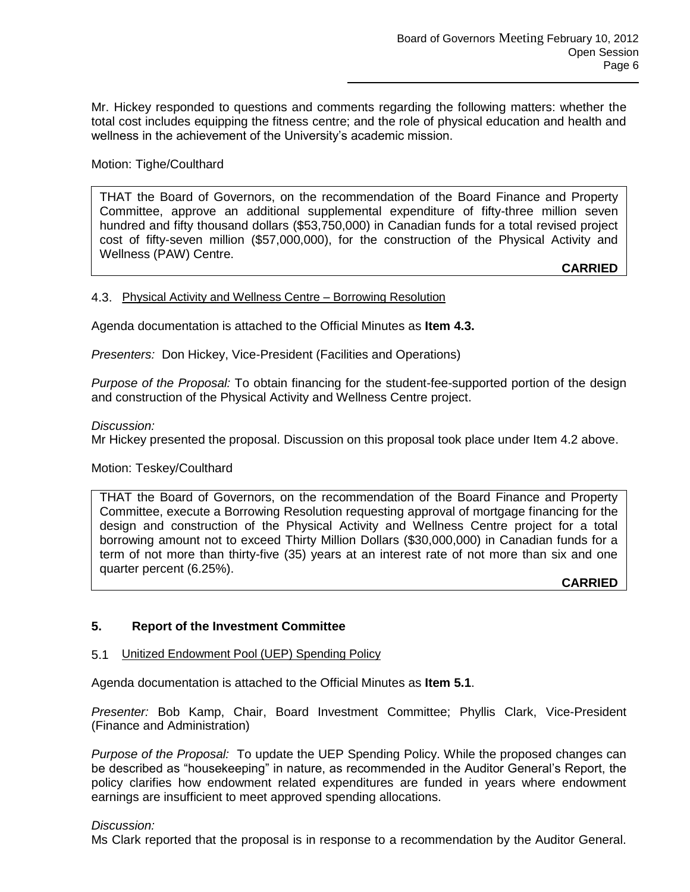Mr. Hickey responded to questions and comments regarding the following matters: whether the total cost includes equipping the fitness centre; and the role of physical education and health and wellness in the achievement of the University's academic mission.

# Motion: Tighe/Coulthard

THAT the Board of Governors, on the recommendation of the Board Finance and Property Committee, approve an additional supplemental expenditure of fifty-three million seven hundred and fifty thousand dollars (\$53,750,000) in Canadian funds for a total revised project cost of fifty-seven million (\$57,000,000), for the construction of the Physical Activity and Wellness (PAW) Centre.

**CARRIED**

#### 4.3. Physical Activity and Wellness Centre – Borrowing Resolution

Agenda documentation is attached to the Official Minutes as **Item 4.3.**

*Presenters:* Don Hickey, Vice-President (Facilities and Operations)

*Purpose of the Proposal:* To obtain financing for the student-fee-supported portion of the design and construction of the Physical Activity and Wellness Centre project.

#### *Discussion:*

Mr Hickey presented the proposal. Discussion on this proposal took place under Item 4.2 above.

#### Motion: Teskey/Coulthard

THAT the Board of Governors, on the recommendation of the Board Finance and Property Committee, execute a Borrowing Resolution requesting approval of mortgage financing for the design and construction of the Physical Activity and Wellness Centre project for a total borrowing amount not to exceed Thirty Million Dollars (\$30,000,000) in Canadian funds for a term of not more than thirty-five (35) years at an interest rate of not more than six and one quarter percent (6.25%).

**CARRIED**

# **5. Report of the Investment Committee**

#### 5.1 Unitized Endowment Pool (UEP) Spending Policy

Agenda documentation is attached to the Official Minutes as **Item 5.1**.

*Presenter:* Bob Kamp, Chair, Board Investment Committee; Phyllis Clark, Vice-President (Finance and Administration)

*Purpose of the Proposal:* To update the UEP Spending Policy. While the proposed changes can be described as "housekeeping" in nature, as recommended in the Auditor General's Report, the policy clarifies how endowment related expenditures are funded in years where endowment earnings are insufficient to meet approved spending allocations.

#### *Discussion:*

Ms Clark reported that the proposal is in response to a recommendation by the Auditor General.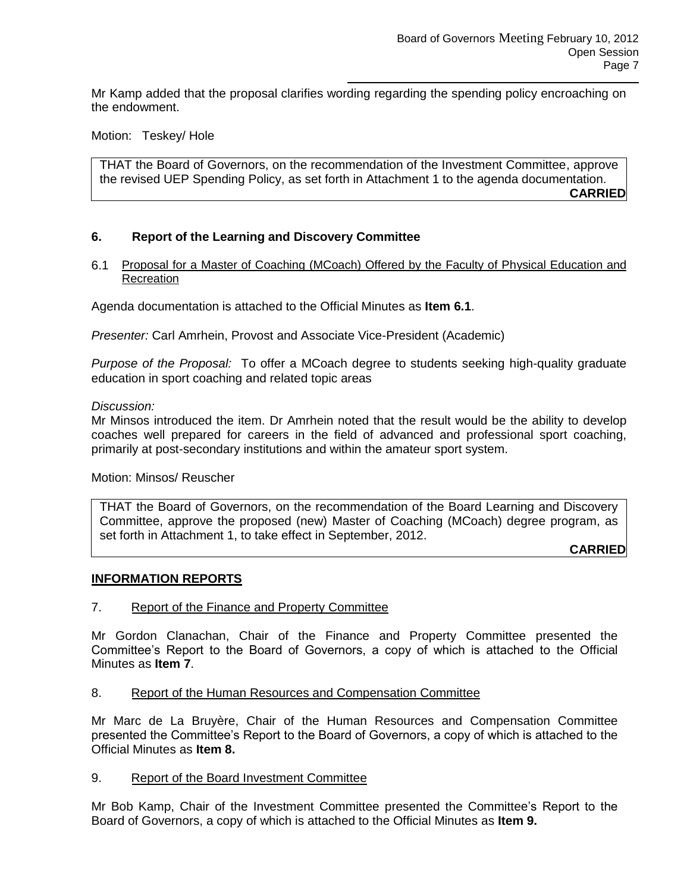Mr Kamp added that the proposal clarifies wording regarding the spending policy encroaching on the endowment.

Motion: Teskey/ Hole

THAT the Board of Governors, on the recommendation of the Investment Committee, approve the revised UEP Spending Policy, as set forth in Attachment 1 to the agenda documentation. **CARRIED**

# **6. Report of the Learning and Discovery Committee**

6.1 Proposal for a Master of Coaching (MCoach) Offered by the Faculty of Physical Education and **Recreation** 

Agenda documentation is attached to the Official Minutes as **Item 6.1**.

*Presenter:* Carl Amrhein, Provost and Associate Vice-President (Academic)

*Purpose of the Proposal:* To offer a MCoach degree to students seeking high-quality graduate education in sport coaching and related topic areas

#### *Discussion:*

Mr Minsos introduced the item. Dr Amrhein noted that the result would be the ability to develop coaches well prepared for careers in the field of advanced and professional sport coaching, primarily at post-secondary institutions and within the amateur sport system.

Motion: Minsos/ Reuscher

THAT the Board of Governors, on the recommendation of the Board Learning and Discovery Committee, approve the proposed (new) Master of Coaching (MCoach) degree program, as set forth in Attachment 1, to take effect in September, 2012.

**CARRIED**

#### **INFORMATION REPORTS**

#### 7. Report of the Finance and Property Committee

Mr Gordon Clanachan, Chair of the Finance and Property Committee presented the Committee's Report to the Board of Governors, a copy of which is attached to the Official Minutes as **Item 7**.

8. Report of the Human Resources and Compensation Committee

Mr Marc de La Bruyère, Chair of the Human Resources and Compensation Committee presented the Committee's Report to the Board of Governors, a copy of which is attached to the Official Minutes as **Item 8.**

9. Report of the Board Investment Committee

Mr Bob Kamp, Chair of the Investment Committee presented the Committee's Report to the Board of Governors, a copy of which is attached to the Official Minutes as **Item 9.**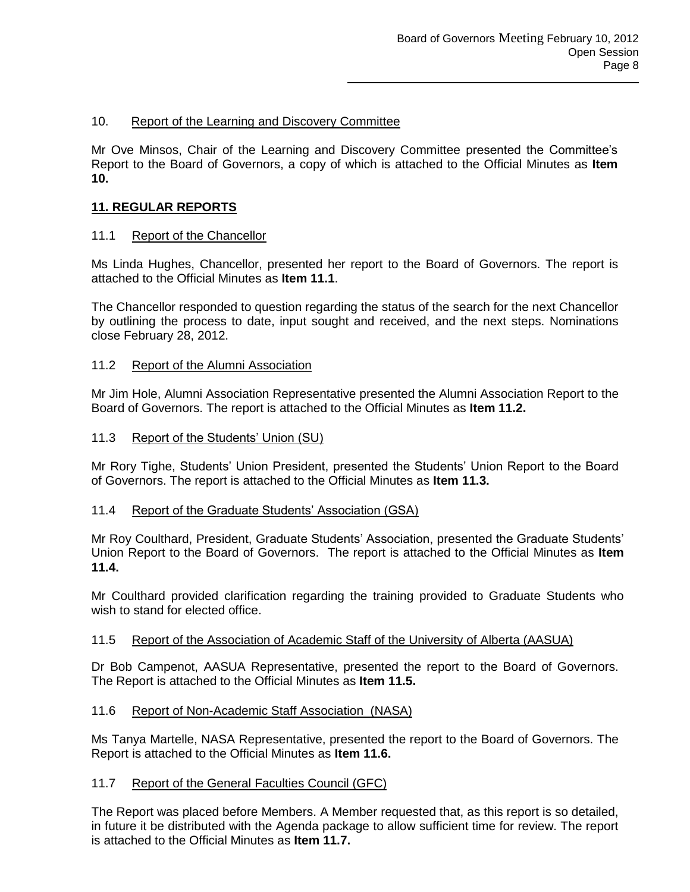# 10. Report of the Learning and Discovery Committee

Mr Ove Minsos, Chair of the Learning and Discovery Committee presented the Committee's Report to the Board of Governors, a copy of which is attached to the Official Minutes as **Item 10.**

# **11. REGULAR REPORTS**

# 11.1 Report of the Chancellor

Ms Linda Hughes, Chancellor, presented her report to the Board of Governors. The report is attached to the Official Minutes as **Item 11.1**.

The Chancellor responded to question regarding the status of the search for the next Chancellor by outlining the process to date, input sought and received, and the next steps. Nominations close February 28, 2012.

### 11.2 Report of the Alumni Association

Mr Jim Hole, Alumni Association Representative presented the Alumni Association Report to the Board of Governors. The report is attached to the Official Minutes as **Item 11.2.**

### 11.3 Report of the Students' Union (SU)

Mr Rory Tighe, Students' Union President, presented the Students' Union Report to the Board of Governors. The report is attached to the Official Minutes as **Item 11.3.**

# 11.4 Report of the Graduate Students' Association (GSA)

Mr Roy Coulthard, President, Graduate Students' Association, presented the Graduate Students' Union Report to the Board of Governors. The report is attached to the Official Minutes as **Item 11.4.**

Mr Coulthard provided clarification regarding the training provided to Graduate Students who wish to stand for elected office.

# 11.5 Report of the Association of Academic Staff of the University of Alberta (AASUA)

Dr Bob Campenot, AASUA Representative, presented the report to the Board of Governors. The Report is attached to the Official Minutes as **Item 11.5.**

# 11.6 Report of Non-Academic Staff Association (NASA)

Ms Tanya Martelle, NASA Representative, presented the report to the Board of Governors. The Report is attached to the Official Minutes as **Item 11.6.**

# 11.7 Report of the General Faculties Council (GFC)

The Report was placed before Members. A Member requested that, as this report is so detailed, in future it be distributed with the Agenda package to allow sufficient time for review. The report is attached to the Official Minutes as **Item 11.7.**